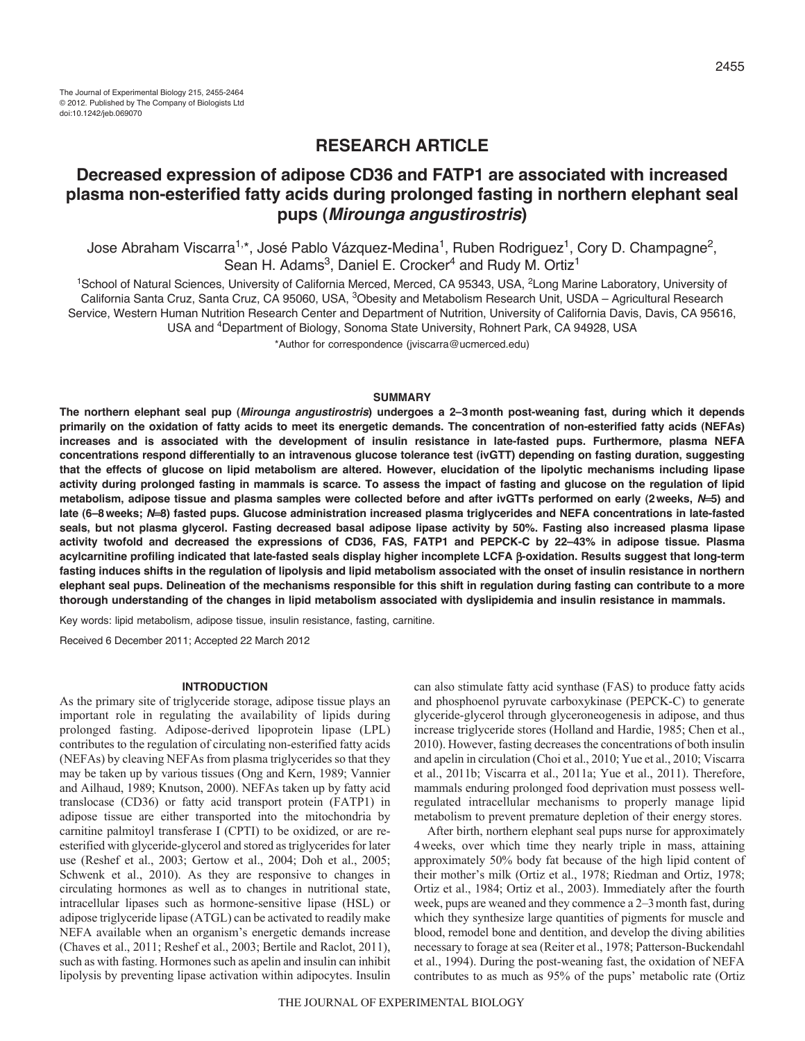# **RESEARCH ARTICLE**

# **Decreased expression of adipose CD36 and FATP1 are associated with increased plasma non-esterified fatty acids during prolonged fasting in northern elephant seal pups (***Mirounga angustirostris***)**

Jose Abraham Viscarra<sup>1,\*</sup>, José Pablo Vázquez-Medina<sup>1</sup>, Ruben Rodriguez<sup>1</sup>, Cory D. Champagne<sup>2</sup>, Sean H. Adams<sup>3</sup>, Daniel E. Crocker<sup>4</sup> and Rudy M. Ortiz<sup>1</sup>

<sup>1</sup>School of Natural Sciences, University of California Merced, Merced, CA 95343, USA, <sup>2</sup>Long Marine Laboratory, University of California Santa Cruz, Santa Cruz, CA 95060, USA, 3Obesity and Metabolism Research Unit, USDA – Agricultural Research Service, Western Human Nutrition Research Center and Department of Nutrition, University of California Davis, Davis, CA 95616, USA and 4Department of Biology, Sonoma State University, Rohnert Park, CA 94928, USA

\*Author for correspondence (jviscarra@ucmerced.edu)

### **SUMMARY**

**The northern elephant seal pup (***Mirounga angustirostris***) undergoes a 2–3month post-weaning fast, during which it depends primarily on the oxidation of fatty acids to meet its energetic demands. The concentration of non-esterified fatty acids (NEFAs) increases and is associated with the development of insulin resistance in late-fasted pups. Furthermore, plasma NEFA concentrations respond differentially to an intravenous glucose tolerance test (ivGTT) depending on fasting duration, suggesting that the effects of glucose on lipid metabolism are altered. However, elucidation of the lipolytic mechanisms including lipase activity during prolonged fasting in mammals is scarce. To assess the impact of fasting and glucose on the regulation of lipid metabolism, adipose tissue and plasma samples were collected before and after ivGTTs performed on early (2weeks,** *N***5) and late (6–8weeks;** *N***8) fasted pups. Glucose administration increased plasma triglycerides and NEFA concentrations in late-fasted seals, but not plasma glycerol. Fasting decreased basal adipose lipase activity by 50%. Fasting also increased plasma lipase activity twofold and decreased the expressions of CD36, FAS, FATP1 and PEPCK-C by 22–43% in adipose tissue. Plasma acylcarnitine profiling indicated that late-fasted seals display higher incomplete LCFA -oxidation. Results suggest that long-term fasting induces shifts in the regulation of lipolysis and lipid metabolism associated with the onset of insulin resistance in northern elephant seal pups. Delineation of the mechanisms responsible for this shift in regulation during fasting can contribute to a more thorough understanding of the changes in lipid metabolism associated with dyslipidemia and insulin resistance in mammals.**

Key words: lipid metabolism, adipose tissue, insulin resistance, fasting, carnitine.

Received 6 December 2011; Accepted 22 March 2012

## **INTRODUCTION**

As the primary site of triglyceride storage, adipose tissue plays an important role in regulating the availability of lipids during prolonged fasting. Adipose-derived lipoprotein lipase (LPL) contributes to the regulation of circulating non-esterified fatty acids (NEFAs) by cleaving NEFAs from plasma triglycerides so that they may be taken up by various tissues (Ong and Kern, 1989; Vannier and Ailhaud, 1989; Knutson, 2000). NEFAs taken up by fatty acid translocase (CD36) or fatty acid transport protein (FATP1) in adipose tissue are either transported into the mitochondria by carnitine palmitoyl transferase I (CPTI) to be oxidized, or are reesterified with glyceride-glycerol and stored as triglycerides for later use (Reshef et al., 2003; Gertow et al., 2004; Doh et al., 2005; Schwenk et al., 2010). As they are responsive to changes in circulating hormones as well as to changes in nutritional state, intracellular lipases such as hormone-sensitive lipase (HSL) or adipose triglyceride lipase (ATGL) can be activated to readily make NEFA available when an organism's energetic demands increase (Chaves et al., 2011; Reshef et al., 2003; Bertile and Raclot, 2011), such as with fasting. Hormones such as apelin and insulin can inhibit lipolysis by preventing lipase activation within adipocytes. Insulin can also stimulate fatty acid synthase (FAS) to produce fatty acids and phosphoenol pyruvate carboxykinase (PEPCK-C) to generate glyceride-glycerol through glyceroneogenesis in adipose, and thus increase triglyceride stores (Holland and Hardie, 1985; Chen et al., 2010). However, fasting decreases the concentrations of both insulin and apelin in circulation (Choi et al., 2010; Yue et al., 2010; Viscarra et al., 2011b; Viscarra et al., 2011a; Yue et al., 2011). Therefore, mammals enduring prolonged food deprivation must possess wellregulated intracellular mechanisms to properly manage lipid metabolism to prevent premature depletion of their energy stores.

After birth, northern elephant seal pups nurse for approximately 4weeks, over which time they nearly triple in mass, attaining approximately 50% body fat because of the high lipid content of their mother's milk (Ortiz et al., 1978; Riedman and Ortiz, 1978; Ortiz et al., 1984; Ortiz et al., 2003). Immediately after the fourth week, pups are weaned and they commence a 2–3month fast, during which they synthesize large quantities of pigments for muscle and blood, remodel bone and dentition, and develop the diving abilities necessary to forage at sea (Reiter et al., 1978; Patterson-Buckendahl et al., 1994). During the post-weaning fast, the oxidation of NEFA contributes to as much as 95% of the pups' metabolic rate (Ortiz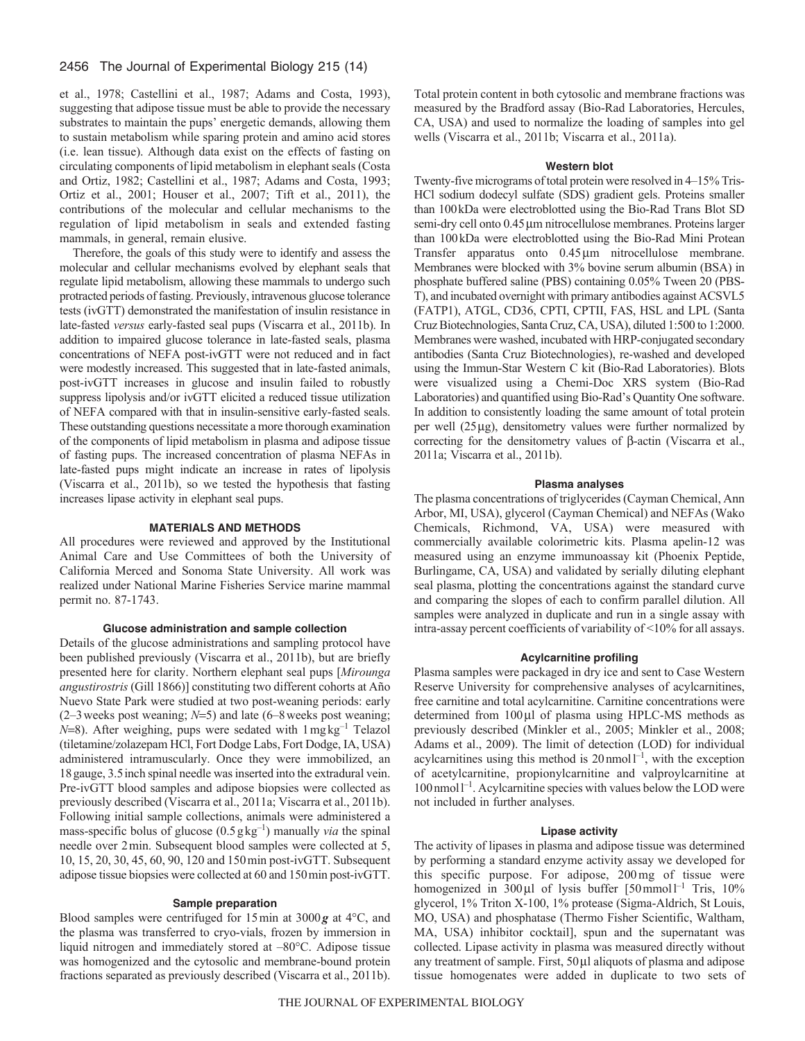# 2456 The Journal of Experimental Biology 215 (14)

et al., 1978; Castellini et al., 1987; Adams and Costa, 1993), suggesting that adipose tissue must be able to provide the necessary substrates to maintain the pups' energetic demands, allowing them to sustain metabolism while sparing protein and amino acid stores (i.e. lean tissue). Although data exist on the effects of fasting on circulating components of lipid metabolism in elephant seals (Costa and Ortiz, 1982; Castellini et al., 1987; Adams and Costa, 1993; Ortiz et al., 2001; Houser et al., 2007; Tift et al., 2011), the contributions of the molecular and cellular mechanisms to the regulation of lipid metabolism in seals and extended fasting mammals, in general, remain elusive.

Therefore, the goals of this study were to identify and assess the molecular and cellular mechanisms evolved by elephant seals that regulate lipid metabolism, allowing these mammals to undergo such protracted periods of fasting. Previously, intravenous glucose tolerance tests (ivGTT) demonstrated the manifestation of insulin resistance in late-fasted *versus* early-fasted seal pups (Viscarra et al., 2011b). In addition to impaired glucose tolerance in late-fasted seals, plasma concentrations of NEFA post-ivGTT were not reduced and in fact were modestly increased. This suggested that in late-fasted animals, post-ivGTT increases in glucose and insulin failed to robustly suppress lipolysis and/or ivGTT elicited a reduced tissue utilization of NEFA compared with that in insulin-sensitive early-fasted seals. These outstanding questions necessitate a more thorough examination of the components of lipid metabolism in plasma and adipose tissue of fasting pups. The increased concentration of plasma NEFAs in late-fasted pups might indicate an increase in rates of lipolysis (Viscarra et al., 2011b), so we tested the hypothesis that fasting increases lipase activity in elephant seal pups.

## **MATERIALS AND METHODS**

All procedures were reviewed and approved by the Institutional Animal Care and Use Committees of both the University of California Merced and Sonoma State University. All work was realized under National Marine Fisheries Service marine mammal permit no. 87-1743.

# **Glucose administration and sample collection**

Details of the glucose administrations and sampling protocol have been published previously (Viscarra et al., 2011b), but are briefly presented here for clarity. Northern elephant seal pups [*Mirounga angustirostris* (Gill 1866)] constituting two different cohorts at Año Nuevo State Park were studied at two post-weaning periods: early  $(2-3$  weeks post weaning;  $N=5$ ) and late  $(6-8$  weeks post weaning;  $N=8$ ). After weighing, pups were sedated with  $1 \text{ mgkg}^{-1}$  Telazol (tiletamine/zolazepam HCl, Fort Dodge Labs, Fort Dodge, IA, USA) administered intramuscularly. Once they were immobilized, an 18gauge, 3.5inch spinal needle was inserted into the extradural vein. Pre-ivGTT blood samples and adipose biopsies were collected as previously described (Viscarra et al., 2011a; Viscarra et al., 2011b). Following initial sample collections, animals were administered a mass-specific bolus of glucose  $(0.5 g kg<sup>-1</sup>)$  manually *via* the spinal needle over 2min. Subsequent blood samples were collected at 5, 10, 15, 20, 30, 45, 60, 90, 120 and 150min post-ivGTT. Subsequent adipose tissue biopsies were collected at 60 and 150min post-ivGTT.

# **Sample preparation**

Blood samples were centrifuged for 15min at 3000*g* at 4°C, and the plasma was transferred to cryo-vials, frozen by immersion in liquid nitrogen and immediately stored at –80°C. Adipose tissue was homogenized and the cytosolic and membrane-bound protein fractions separated as previously described (Viscarra et al., 2011b). Total protein content in both cytosolic and membrane fractions was measured by the Bradford assay (Bio-Rad Laboratories, Hercules, CA, USA) and used to normalize the loading of samples into gel wells (Viscarra et al., 2011b; Viscarra et al., 2011a).

## **Western blot**

Twenty-five micrograms of total protein were resolved in 4–15% Tris-HCl sodium dodecyl sulfate (SDS) gradient gels. Proteins smaller than 100kDa were electroblotted using the Bio-Rad Trans Blot SD semi-dry cell onto 0.45 µm nitrocellulose membranes. Proteins larger than 100kDa were electroblotted using the Bio-Rad Mini Protean Transfer apparatus onto 0.45 µm nitrocellulose membrane. Membranes were blocked with 3% bovine serum albumin (BSA) in phosphate buffered saline (PBS) containing 0.05% Tween 20 (PBS-T), and incubated overnight with primary antibodies against ACSVL5 (FATP1), ATGL, CD36, CPTI, CPTII, FAS, HSL and LPL (Santa Cruz Biotechnologies, Santa Cruz, CA, USA), diluted 1:500 to 1:2000. Membranes were washed, incubated with HRP-conjugated secondary antibodies (Santa Cruz Biotechnologies), re-washed and developed using the Immun-Star Western C kit (Bio-Rad Laboratories). Blots were visualized using a Chemi-Doc XRS system (Bio-Rad Laboratories) and quantified using Bio-Rad's Quantity One software. In addition to consistently loading the same amount of total protein per well  $(25 \mu g)$ , densitometry values were further normalized by correcting for the densitometry values of  $\beta$ -actin (Viscarra et al., 2011a; Viscarra et al., 2011b).

#### **Plasma analyses**

The plasma concentrations of triglycerides (Cayman Chemical, Ann Arbor, MI, USA), glycerol (Cayman Chemical) and NEFAs (Wako Chemicals, Richmond, VA, USA) were measured with commercially available colorimetric kits. Plasma apelin-12 was measured using an enzyme immunoassay kit (Phoenix Peptide, Burlingame, CA, USA) and validated by serially diluting elephant seal plasma, plotting the concentrations against the standard curve and comparing the slopes of each to confirm parallel dilution. All samples were analyzed in duplicate and run in a single assay with intra-assay percent coefficients of variability of <10% for all assays.

## **Acylcarnitine profiling**

Plasma samples were packaged in dry ice and sent to Case Western Reserve University for comprehensive analyses of acylcarnitines, free carnitine and total acylcarnitine. Carnitine concentrations were determined from 100µl of plasma using HPLC-MS methods as previously described (Minkler et al., 2005; Minkler et al., 2008; Adams et al., 2009). The limit of detection (LOD) for individual acylcarnitines using this method is  $20 \text{ nmol}^{-1}$ , with the exception of acetylcarnitine, propionylcarnitine and valproylcarnitine at 100 nmol<sup>1-1</sup>. Acylcarnitine species with values below the LOD were not included in further analyses.

#### **Lipase activity**

The activity of lipases in plasma and adipose tissue was determined by performing a standard enzyme activity assay we developed for this specific purpose. For adipose, 200mg of tissue were homogenized in  $300 \mu l$  of lysis buffer  $[50 \text{mmol}]^{-1}$  Tris,  $10\%$ glycerol, 1% Triton X-100, 1% protease (Sigma-Aldrich, St Louis, MO, USA) and phosphatase (Thermo Fisher Scientific, Waltham, MA, USA) inhibitor cocktail], spun and the supernatant was collected. Lipase activity in plasma was measured directly without any treatment of sample. First,  $50 \mu l$  aliquots of plasma and adipose tissue homogenates were added in duplicate to two sets of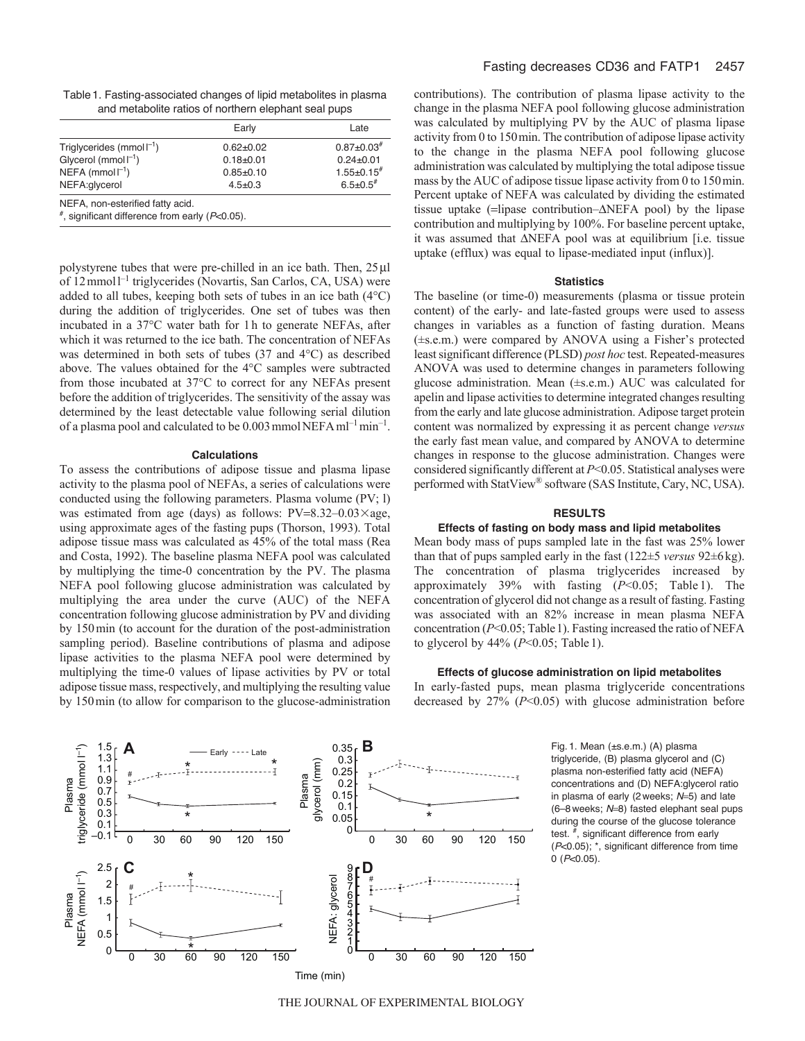Table1. Fasting-associated changes of lipid metabolites in plasma and metabolite ratios of northern elephant seal pups

|                                             | Early         | Late                |
|---------------------------------------------|---------------|---------------------|
| Triglycerides (mmol $\Gamma$ <sup>1</sup> ) | $0.62 + 0.02$ | $0.87 \pm 0.03$ #   |
| Glycerol ( $mmol-1$ )                       | $0.18 + 0.01$ | $0.24 + 0.01$       |
| NEFA (mmol $\Gamma$ <sup>1</sup> )          | $0.85 + 0.10$ | $1.55 \pm 0.15^{#}$ |
| NEFA: qlycerol                              | $4.5 \pm 0.3$ | $6.5 \pm 0.5$ #     |

NEFA, non-esterified fatty acid.

#, significant difference from early (*P*<0.05).

polystyrene tubes that were pre-chilled in an ice bath. Then,  $25 \mu$ l of 12 mmol<sup>1-1</sup> triglycerides (Novartis, San Carlos, CA, USA) were added to all tubes, keeping both sets of tubes in an ice bath (4°C) during the addition of triglycerides. One set of tubes was then incubated in a 37°C water bath for 1h to generate NEFAs, after which it was returned to the ice bath. The concentration of NEFAs was determined in both sets of tubes (37 and 4°C) as described above. The values obtained for the 4°C samples were subtracted from those incubated at 37°C to correct for any NEFAs present before the addition of triglycerides. The sensitivity of the assay was determined by the least detectable value following serial dilution of a plasma pool and calculated to be  $0.003$  mmol NEFA ml<sup>-1</sup> min<sup>-1</sup>.

## **Calculations**

To assess the contributions of adipose tissue and plasma lipase activity to the plasma pool of NEFAs, a series of calculations were conducted using the following parameters. Plasma volume (PV; l) was estimated from age (days) as follows:  $PV=8.32-0.03\times$ age, using approximate ages of the fasting pups (Thorson, 1993). Total adipose tissue mass was calculated as 45% of the total mass (Rea and Costa, 1992). The baseline plasma NEFA pool was calculated by multiplying the time-0 concentration by the PV. The plasma NEFA pool following glucose administration was calculated by multiplying the area under the curve (AUC) of the NEFA concentration following glucose administration by PV and dividing by 150min (to account for the duration of the post-administration sampling period). Baseline contributions of plasma and adipose lipase activities to the plasma NEFA pool were determined by multiplying the time-0 values of lipase activities by PV or total adipose tissue mass, respectively, and multiplying the resulting value by 150min (to allow for comparison to the glucose-administration contributions). The contribution of plasma lipase activity to the change in the plasma NEFA pool following glucose administration was calculated by multiplying PV by the AUC of plasma lipase activity from 0 to 150min. The contribution of adipose lipase activity to the change in the plasma NEFA pool following glucose administration was calculated by multiplying the total adipose tissue mass by the AUC of adipose tissue lipase activity from 0 to 150min. Percent uptake of NEFA was calculated by dividing the estimated tissue uptake  $(=\text{lipase contribution}-\Delta \text{NEFA pool})$  by the lipase contribution and multiplying by 100%. For baseline percent uptake, it was assumed that  $\triangle$ NEFA pool was at equilibrium [i.e. tissue uptake (efflux) was equal to lipase-mediated input (influx)].

### **Statistics**

The baseline (or time-0) measurements (plasma or tissue protein content) of the early- and late-fasted groups were used to assess changes in variables as a function of fasting duration. Means (±s.e.m.) were compared by ANOVA using a Fisher's protected least significant difference (PLSD) *post hoc* test. Repeated-measures ANOVA was used to determine changes in parameters following glucose administration. Mean (±s.e.m.) AUC was calculated for apelin and lipase activities to determine integrated changes resulting from the early and late glucose administration. Adipose target protein content was normalized by expressing it as percent change *versus* the early fast mean value, and compared by ANOVA to determine changes in response to the glucose administration. Changes were considered significantly different at *P*<0.05. Statistical analyses were performed with StatView® software (SAS Institute, Cary, NC, USA).

# **RESULTS**

## **Effects of fasting on body mass and lipid metabolites**

Mean body mass of pups sampled late in the fast was 25% lower than that of pups sampled early in the fast (122±5 *versus* 92±6kg). The concentration of plasma triglycerides increased by approximately 39% with fasting (*P*<0.05; Table 1). The concentration of glycerol did not change as a result of fasting. Fasting was associated with an 82% increase in mean plasma NEFA concentration (*P*<0.05; Table1). Fasting increased the ratio of NEFA to glycerol by 44% (*P*<0.05; Table1).

### **Effects of glucose administration on lipid metabolites**

In early-fasted pups, mean plasma triglyceride concentrations decreased by 27% (*P*<0.05) with glucose administration before



Fig. 1. Mean (±s.e.m.) (A) plasma triglyceride, (B) plasma glycerol and (C) plasma non-esterified fatty acid (NEFA) concentrations and (D) NEFA:glycerol ratio in plasma of early (2 weeks; N=5) and late (6–8 weeks; N=8) fasted elephant seal pups during the course of the glucose tolerance test. #, significant difference from early (*P*<0.05); \*, significant difference from time 0 (*P*<0.05).

THE JOURNAL OF EXPERIMENTAL BIOLOGY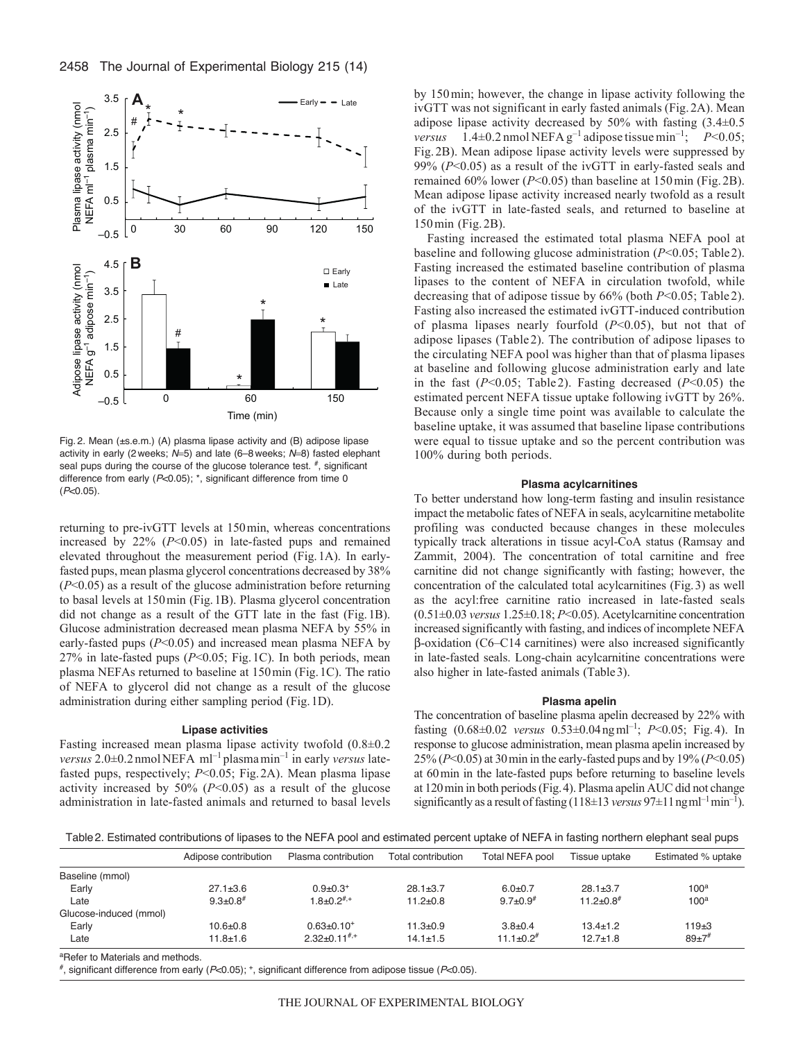

Fig. 2. Mean (±s.e.m.) (A) plasma lipase activity and (B) adipose lipase activity in early (2 weeks; N=5) and late (6-8 weeks; N=8) fasted elephant seal pups during the course of the glucose tolerance test.  $\overline{f}$ , significant difference from early (*P*<0.05); \*, significant difference from time 0 (*P*<0.05).

returning to pre-ivGTT levels at 150min, whereas concentrations increased by 22% (*P*<0.05) in late-fasted pups and remained elevated throughout the measurement period (Fig.1A). In earlyfasted pups, mean plasma glycerol concentrations decreased by 38% (*P*<0.05) as a result of the glucose administration before returning to basal levels at 150min (Fig.1B). Plasma glycerol concentration did not change as a result of the GTT late in the fast (Fig.1B). Glucose administration decreased mean plasma NEFA by 55% in early-fasted pups (*P*<0.05) and increased mean plasma NEFA by 27% in late-fasted pups (*P*<0.05; Fig.1C). In both periods, mean plasma NEFAs returned to baseline at 150min (Fig.1C). The ratio of NEFA to glycerol did not change as a result of the glucose administration during either sampling period (Fig.1D).

# **Lipase activities**

Fasting increased mean plasma lipase activity twofold (0.8±0.2 *versus* 2.0±0.2 nmolNEFA ml–1 plasmamin–1 in early *versus* latefasted pups, respectively; *P*<0.05; Fig.2A). Mean plasma lipase activity increased by  $50\%$  ( $P<0.05$ ) as a result of the glucose administration in late-fasted animals and returned to basal levels by 150min; however, the change in lipase activity following the ivGTT was not significant in early fasted animals (Fig.2A). Mean adipose lipase activity decreased by 50% with fasting (3.4±0.5 *versus*  $1.4\pm0.2$  nmol NEFA g<sup>-1</sup> adipose tissue min<sup>-1</sup>;  $P<0.05$ ; Fig. 2B). Mean adipose lipase activity levels were suppressed by 99% (*P*<0.05) as a result of the ivGTT in early-fasted seals and remained 60% lower (*P*<0.05) than baseline at 150min (Fig. 2B). Mean adipose lipase activity increased nearly twofold as a result of the ivGTT in late-fasted seals, and returned to baseline at 150min (Fig. 2B).

Fasting increased the estimated total plasma NEFA pool at baseline and following glucose administration (*P*<0.05; Table2). Fasting increased the estimated baseline contribution of plasma lipases to the content of NEFA in circulation twofold, while decreasing that of adipose tissue by 66% (both *P*<0.05; Table 2). Fasting also increased the estimated ivGTT-induced contribution of plasma lipases nearly fourfold (*P*<0.05), but not that of adipose lipases (Table 2). The contribution of adipose lipases to the circulating NEFA pool was higher than that of plasma lipases at baseline and following glucose administration early and late in the fast (*P*<0.05; Table 2). Fasting decreased (*P*<0.05) the estimated percent NEFA tissue uptake following ivGTT by 26%. Because only a single time point was available to calculate the baseline uptake, it was assumed that baseline lipase contributions were equal to tissue uptake and so the percent contribution was 100% during both periods.

#### **Plasma acylcarnitines**

To better understand how long-term fasting and insulin resistance impact the metabolic fates of NEFA in seals, acylcarnitine metabolite profiling was conducted because changes in these molecules typically track alterations in tissue acyl-CoA status (Ramsay and Zammit, 2004). The concentration of total carnitine and free carnitine did not change significantly with fasting; however, the concentration of the calculated total acylcarnitines (Fig.3) as well as the acyl:free carnitine ratio increased in late-fasted seals (0.51±0.03 *versus* 1.25±0.18; *P*<0.05). Acetylcarnitine concentration increased significantly with fasting, and indices of incomplete NEFA  $\beta$ -oxidation (C6–C14 carnitines) were also increased significantly in late-fasted seals. Long-chain acylcarnitine concentrations were also higher in late-fasted animals (Table3).

# **Plasma apelin**

The concentration of baseline plasma apelin decreased by 22% with fasting (0.68±0.02 *versus* 0.53±0.04ngml–1; *P*<0.05; Fig. 4). In response to glucose administration, mean plasma apelin increased by 25% (*P*<0.05) at 30min in the early-fasted pups and by 19% (*P*<0.05) at 60min in the late-fasted pups before returning to baseline levels at 120min in both periods (Fig.4). Plasma apelin AUC did not change significantly as a result of fasting  $(118\pm13 \text{ versus } 97\pm11 \text{ ng} \text{m}^{-1})$ .

Table2. Estimated contributions of lipases to the NEFA pool and estimated percent uptake of NEFA in fasting northern elephant seal pups

|                                 | Adipose contribution | Plasma contribution        | Total contribution | Total NEFA pool            | Tissue uptake    | Estimated % uptake |
|---------------------------------|----------------------|----------------------------|--------------------|----------------------------|------------------|--------------------|
| Baseline (mmol)                 |                      |                            |                    |                            |                  |                    |
| Early                           | $27.1 \pm 3.6$       | $0.9 \pm 0.3$ <sup>+</sup> | $28.1 \pm 3.7$     | $6.0 + 0.7$                | $28.1 \pm 3.7$   | $100^a$            |
| Late                            | $9.3 \pm 0.8$ #      | $1.8+0.2$ <sup>#,+</sup>   | $11.2 \pm 0.8$     | $9.7 \pm 0.9$ <sup>#</sup> | $11.2 \pm 0.8$ # | 100 <sup>a</sup>   |
| Glucose-induced (mmol)          |                      |                            |                    |                            |                  |                    |
| Early                           | $10.6 + 0.8$         | $0.63 \pm 0.10^{+}$        | $11.3 \pm 0.9$     | $3.8 \pm 0.4$              | $13.4 \pm 1.2$   | $119+3$            |
| Late                            | $11.8 \pm 1.6$       | $2.32+0.11^{#,+}$          | $14.1 \pm 1.5$     | $11.1 \pm 0.2$ #           | $12.7 + 1.8$     | $89+7$ #           |
| apoter to Meteriale and methode |                      |                            |                    |                            |                  |                    |

<sup>a</sup>Refer to Materials and methods.

#, significant difference from early (*P*<0.05); +, significant difference from adipose tissue (*P*<0.05).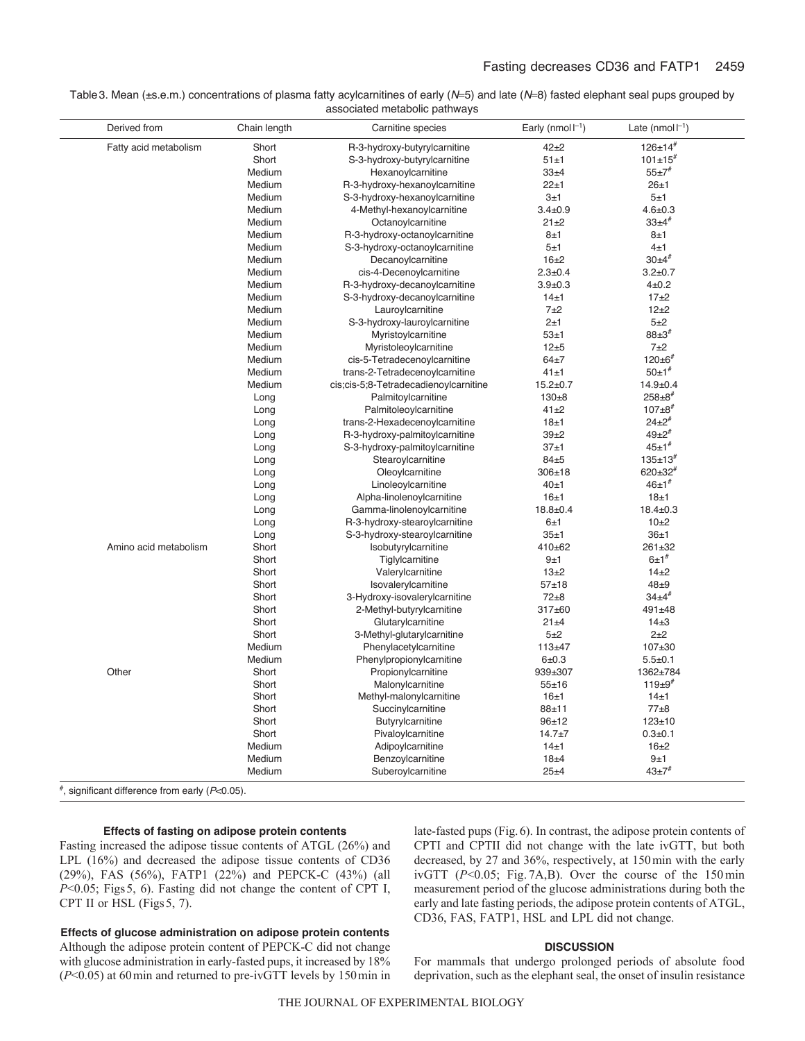| Table 3. Mean (±s.e.m.) concentrations of plasma fatty acylcarnitines of early ( $N=5$ ) and late ( $N=8$ ) fasted elephant seal pups grouped by |
|--------------------------------------------------------------------------------------------------------------------------------------------------|
| associated metabolic pathways                                                                                                                    |

| Derived from          | Chain length | Carnitine species                     | Early (nmol $\Gamma$ <sup>1</sup> ) | Late (nmol $\Gamma$ <sup>1</sup> ) |
|-----------------------|--------------|---------------------------------------|-------------------------------------|------------------------------------|
| Fatty acid metabolism | Short        | R-3-hydroxy-butyrylcarnitine          | $42 + 2$                            | $126 \pm 14$ #                     |
|                       | Short        | S-3-hydroxy-butyrylcarnitine          | 51±1                                | $101 \pm 15$ <sup>#</sup>          |
|                       | Medium       | Hexanovlcarnitine                     | 33±4                                | $55 \pm 7$                         |
|                       | Medium       | R-3-hydroxy-hexanoylcarnitine         | 22±1                                | 26±1                               |
|                       | Medium       | S-3-hydroxy-hexanoylcarnitine         | 3±1                                 | 5±1                                |
|                       | Medium       | 4-Methyl-hexanoylcarnitine            | $3.4 \pm 0.9$                       | $4.6 + 0.3$                        |
|                       | Medium       | Octanoylcarnitine                     | $21 + 2$                            | $33+4$                             |
|                       | Medium       | R-3-hydroxy-octanoylcarnitine         | 8±1                                 | 8±1                                |
|                       | Medium       | S-3-hydroxy-octanoylcarnitine         | 5±1                                 | 4±1                                |
|                       | Medium       | Decanoylcarnitine                     | 16±2                                | $30+4$ #                           |
|                       | Medium       | cis-4-Decenoylcarnitine               | $2.3 + 0.4$                         | $3.2 + 0.7$                        |
|                       | Medium       | R-3-hydroxy-decanovicarnitine         | $3.9 + 0.3$                         | $4\pm0.2$                          |
|                       | Medium       | S-3-hydroxy-decanoylcarnitine         | 14±1                                | 17±2                               |
|                       | Medium       | Lauroylcarnitine                      | $7+2$                               | $12+2$                             |
|                       | Medium       | S-3-hydroxy-lauroylcarnitine          | 2±1                                 | $5+2$                              |
|                       | Medium       | Myristoylcarnitine                    | 53±1                                | $88+3$ #                           |
|                       | Medium       | Myristoleoylcarnitine                 | $12+5$                              | $7+2$                              |
|                       | Medium       | cis-5-Tetradecenoylcarnitine          | 64±7                                | $120 \pm 6^{\#}$                   |
|                       | Medium       | trans-2-Tetradecenoylcarnitine        | 41±1                                | $50±1$ <sup>#</sup>                |
|                       | Medium       | cis;cis-5;8-Tetradecadienoylcarnitine | $15.2 \pm 0.7$                      | $14.9 + 0.4$                       |
|                       | Long         | Palmitoylcarnitine                    | $130 + 8$                           | $258 \pm 8$ #                      |
|                       | Long         | Palmitoleoylcarnitine                 | $41 + 2$                            | $107 \pm 8^{\#}$                   |
|                       | Long         | trans-2-Hexadecenoylcarnitine         | 18±1                                | $24+2$ #                           |
|                       | Long         | R-3-hydroxy-palmitoylcarnitine        | $39 + 2$                            | $49+2$ #                           |
|                       | Long         | S-3-hydroxy-palmitoylcarnitine        | 37±1                                | $45 \pm 1^{\#}$                    |
|                       | Long         | Stearoylcarnitine                     | 84±5                                | $135+13$                           |
|                       |              | Oleoylcarnitine                       | $306 + 18$                          | $620 \pm 32$ <sup>#</sup>          |
|                       | Long         |                                       | 40±1                                | $46 \pm 1^{\#}$                    |
|                       | Long         | Linoleoylcarnitine                    | 16±1                                | 18±1                               |
|                       | Long         | Alpha-linolenoylcarnitine             |                                     |                                    |
|                       | Long         | Gamma-linolenoylcarnitine             | $18.8 + 0.4$                        | $18.4 \pm 0.3$                     |
|                       | Long         | R-3-hydroxy-stearoylcarnitine         | 6±1                                 | 10±2                               |
|                       | Long         | S-3-hydroxy-stearoylcarnitine         | 35±1                                | 36±1                               |
| Amino acid metabolism | Short        | Isobutyrylcarnitine                   | $410 + 62$                          | $261 + 32$                         |
|                       | Short        | Tiglylcarnitine                       | 9±1                                 | $6±1$ <sup>#</sup>                 |
|                       | Short        | Valerylcarnitine                      | $13\pm2$                            | $14\pm2$                           |
|                       | Short        | Isovalerylcarnitine                   | $57 + 18$                           | $48\pm9$                           |
|                       | Short        | 3-Hydroxy-isovalerylcarnitine         | $72\pm8$                            | $34+4$                             |
|                       | Short        | 2-Methyl-butyrylcarnitine             | 317±60                              | 491±48                             |
|                       | Short        | Glutarylcarnitine                     | $21 + 4$                            | $14\pm3$                           |
|                       | Short        | 3-Methyl-glutarylcarnitine            | $5+2$                               | $2+2$                              |
|                       | Medium       | Phenylacetylcarnitine                 | $113 + 47$                          | 107±30                             |
|                       | Medium       | Phenylpropionylcarnitine              | 6±0.3                               | $5.5 + 0.1$                        |
| Other                 | Short        | Propionylcarnitine                    | 939±307                             | 1362±784                           |
|                       | Short        | Malonylcarnitine                      | $55 + 16$                           | $119±9$ <sup>#</sup>               |
|                       | Short        | Methyl-malonylcarnitine               | 16±1                                | 14±1                               |
|                       | Short        | Succinylcarnitine                     | $88 + 11$                           | 77±8                               |
|                       | Short        | Butyrylcarnitine                      | $96 + 12$                           | $123 + 10$                         |
|                       | Short        | Pivaloylcarnitine                     | $14.7 + 7$                          | $0.3 + 0.1$                        |
|                       | Medium       | Adipoylcarnitine                      | 14±1                                | $16\pm2$                           |
|                       | Medium       | Benzoylcarnitine                      | 18±4                                | 9±1                                |
|                       | Medium       | Suberoylcarnitine                     | $25 + 4$                            | $43 + 7$                           |

#, significant difference from early (*P*<0.05).

## **Effects of fasting on adipose protein contents**

Fasting increased the adipose tissue contents of ATGL (26%) and LPL (16%) and decreased the adipose tissue contents of CD36 (29%), FAS (56%), FATP1 (22%) and PEPCK-C (43%) (all *P*<0.05; Figs5, 6). Fasting did not change the content of CPT I, CPT II or HSL (Figs 5, 7).

**Effects of glucose administration on adipose protein contents** Although the adipose protein content of PEPCK-C did not change with glucose administration in early-fasted pups, it increased by 18% (*P*<0.05) at 60min and returned to pre-ivGTT levels by 150min in late-fasted pups (Fig.6). In contrast, the adipose protein contents of CPTI and CPTII did not change with the late ivGTT, but both decreased, by 27 and 36%, respectively, at 150min with the early ivGTT (*P*<0.05; Fig. 7A,B). Over the course of the 150min measurement period of the glucose administrations during both the early and late fasting periods, the adipose protein contents of ATGL, CD36, FAS, FATP1, HSL and LPL did not change.

# **DISCUSSION**

For mammals that undergo prolonged periods of absolute food deprivation, such as the elephant seal, the onset of insulin resistance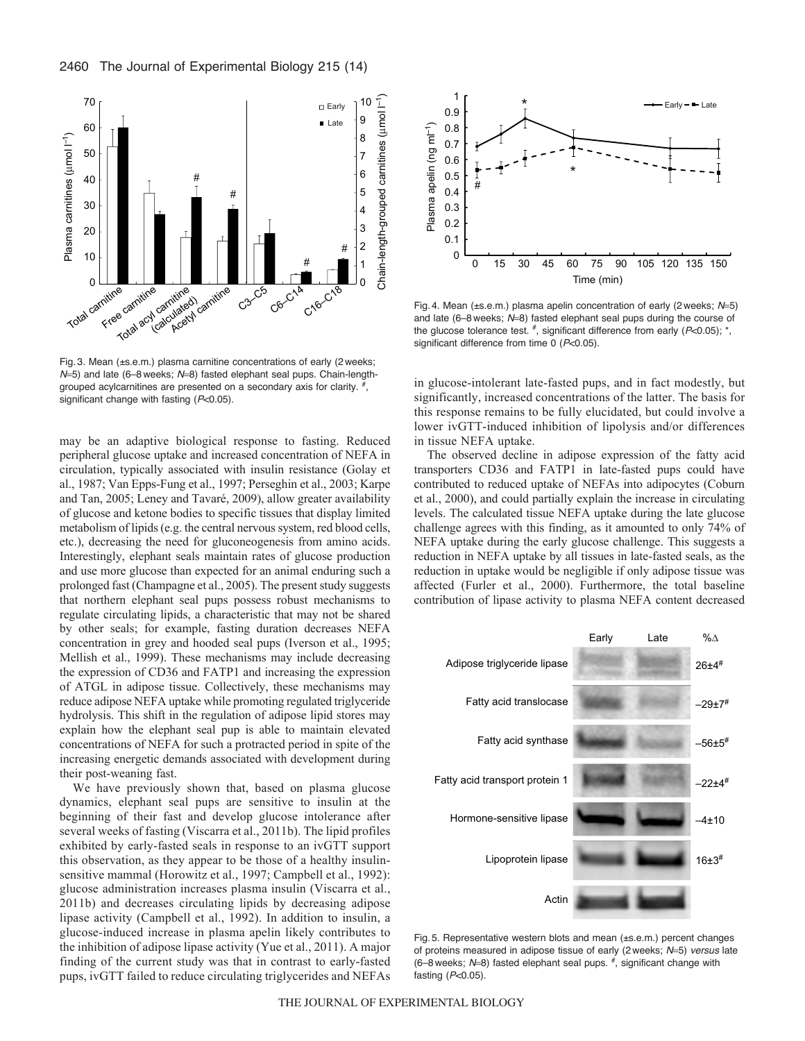

Fig. 3. Mean (±s.e.m.) plasma carnitine concentrations of early (2 weeks; *N*=5) and late (6-8 weeks; *N*=8) fasted elephant seal pups. Chain-lengthgrouped acylcarnitines are presented on a secondary axis for clarity.  $\frac{H}{l}$ , significant change with fasting (*P*<0.05).

may be an adaptive biological response to fasting. Reduced peripheral glucose uptake and increased concentration of NEFA in circulation, typically associated with insulin resistance (Golay et al., 1987; Van Epps-Fung et al., 1997; Perseghin et al., 2003; Karpe and Tan, 2005; Leney and Tavaré, 2009), allow greater availability of glucose and ketone bodies to specific tissues that display limited metabolism of lipids (e.g. the central nervous system, red blood cells, etc.), decreasing the need for gluconeogenesis from amino acids. Interestingly, elephant seals maintain rates of glucose production and use more glucose than expected for an animal enduring such a prolonged fast (Champagne et al., 2005). The present study suggests that northern elephant seal pups possess robust mechanisms to regulate circulating lipids, a characteristic that may not be shared by other seals; for example, fasting duration decreases NEFA concentration in grey and hooded seal pups (Iverson et al., 1995; Mellish et al., 1999). These mechanisms may include decreasing the expression of CD36 and FATP1 and increasing the expression of ATGL in adipose tissue. Collectively, these mechanisms may reduce adipose NEFA uptake while promoting regulated triglyceride hydrolysis. This shift in the regulation of adipose lipid stores may explain how the elephant seal pup is able to maintain elevated concentrations of NEFA for such a protracted period in spite of the increasing energetic demands associated with development during their post-weaning fast.

We have previously shown that, based on plasma glucose dynamics, elephant seal pups are sensitive to insulin at the beginning of their fast and develop glucose intolerance after several weeks of fasting (Viscarra et al., 2011b). The lipid profiles exhibited by early-fasted seals in response to an ivGTT support this observation, as they appear to be those of a healthy insulinsensitive mammal (Horowitz et al., 1997; Campbell et al., 1992): glucose administration increases plasma insulin (Viscarra et al., 2011b) and decreases circulating lipids by decreasing adipose lipase activity (Campbell et al., 1992). In addition to insulin, a glucose-induced increase in plasma apelin likely contributes to the inhibition of adipose lipase activity (Yue et al., 2011). A major finding of the current study was that in contrast to early-fasted pups, ivGTT failed to reduce circulating triglycerides and NEFAs



Fig. 4. Mean (±s.e.m.) plasma apelin concentration of early (2 weeks; N=5) and late (6-8 weeks; N=8) fasted elephant seal pups during the course of the glucose tolerance test.  $\frac{4}{7}$ , significant difference from early ( $P<0.05$ );  $\frac{4}{7}$ , significant difference from time 0 (*P*<0.05).

in glucose-intolerant late-fasted pups, and in fact modestly, but significantly, increased concentrations of the latter. The basis for this response remains to be fully elucidated, but could involve a lower ivGTT-induced inhibition of lipolysis and/or differences in tissue NEFA uptake.

The observed decline in adipose expression of the fatty acid transporters CD36 and FATP1 in late-fasted pups could have contributed to reduced uptake of NEFAs into adipocytes (Coburn et al., 2000), and could partially explain the increase in circulating levels. The calculated tissue NEFA uptake during the late glucose challenge agrees with this finding, as it amounted to only 74% of NEFA uptake during the early glucose challenge. This suggests a reduction in NEFA uptake by all tissues in late-fasted seals, as the reduction in uptake would be negligible if only adipose tissue was affected (Furler et al., 2000). Furthermore, the total baseline contribution of lipase activity to plasma NEFA content decreased



Fig. 5. Representative western blots and mean (±s.e.m.) percent changes of proteins measured in adipose tissue of early (2 weeks;  $N=5$ ) *versus* late (6–8 weeks;  $N=8$ ) fasted elephant seal pups.  $\frac{4}{7}$ , significant change with fasting (*P*<0.05).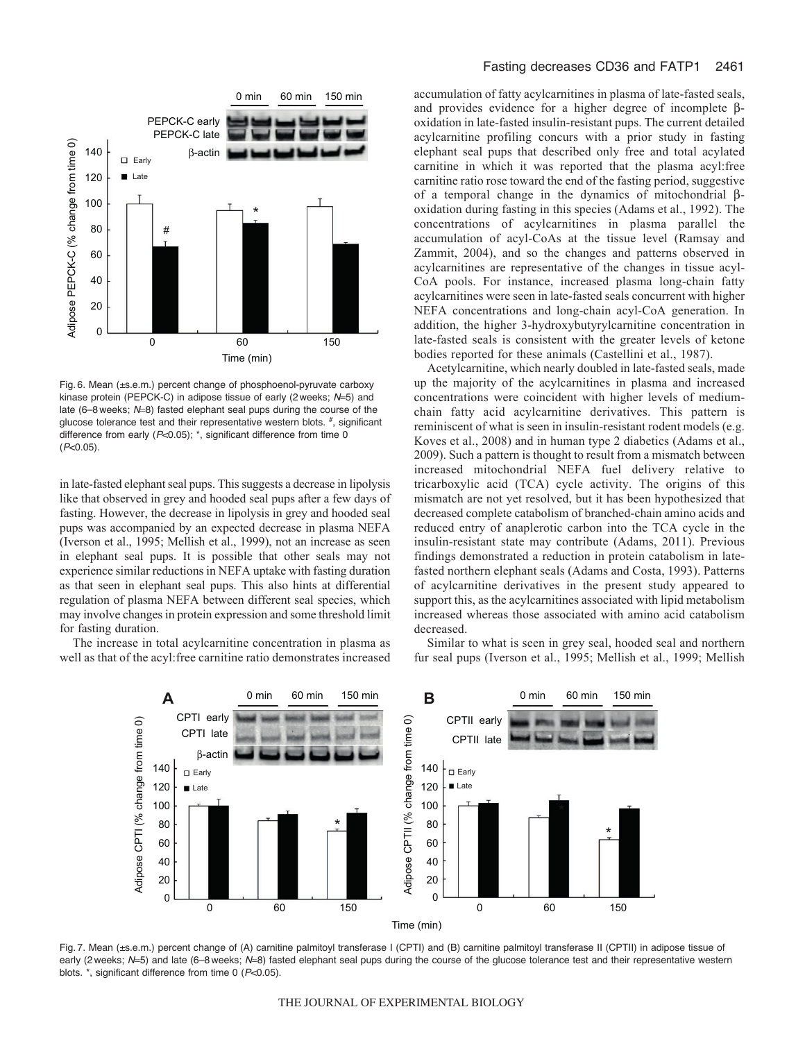

Fig. 6. Mean (±s.e.m.) percent change of phosphoenol-pyruvate carboxy kinase protein (PEPCK-C) in adipose tissue of early (2 weeks; N=5) and late (6–8 weeks; N=8) fasted elephant seal pups during the course of the glucose tolerance test and their representative western blots.  $\overset{\#}{\vphantom{p}}$ , significant difference from early (*P*<0.05); \*, significant difference from time 0 (*P*<0.05).

in late-fasted elephant seal pups. This suggests a decrease in lipolysis like that observed in grey and hooded seal pups after a few days of fasting. However, the decrease in lipolysis in grey and hooded seal pups was accompanied by an expected decrease in plasma NEFA (Iverson et al., 1995; Mellish et al., 1999), not an increase as seen in elephant seal pups. It is possible that other seals may not experience similar reductions in NEFA uptake with fasting duration as that seen in elephant seal pups. This also hints at differential regulation of plasma NEFA between different seal species, which may involve changes in protein expression and some threshold limit for fasting duration.

The increase in total acylcarnitine concentration in plasma as well as that of the acyl:free carnitine ratio demonstrates increased accumulation of fatty acylcarnitines in plasma of late-fasted seals, and provides evidence for a higher degree of incomplete  $\beta$ oxidation in late-fasted insulin-resistant pups. The current detailed acylcarnitine profiling concurs with a prior study in fasting elephant seal pups that described only free and total acylated carnitine in which it was reported that the plasma acyl:free carnitine ratio rose toward the end of the fasting period, suggestive of a temporal change in the dynamics of mitochondrial  $\beta$ oxidation during fasting in this species (Adams et al., 1992). The concentrations of acylcarnitines in plasma parallel the accumulation of acyl-CoAs at the tissue level (Ramsay and Zammit, 2004), and so the changes and patterns observed in acylcarnitines are representative of the changes in tissue acyl-CoA pools. For instance, increased plasma long-chain fatty acylcarnitines were seen in late-fasted seals concurrent with higher NEFA concentrations and long-chain acyl-CoA generation. In addition, the higher 3-hydroxybutyrylcarnitine concentration in late-fasted seals is consistent with the greater levels of ketone bodies reported for these animals (Castellini et al., 1987).

Acetylcarnitine, which nearly doubled in late-fasted seals, made up the majority of the acylcarnitines in plasma and increased concentrations were coincident with higher levels of mediumchain fatty acid acylcarnitine derivatives. This pattern is reminiscent of what is seen in insulin-resistant rodent models (e.g. Koves et al., 2008) and in human type 2 diabetics (Adams et al., 2009). Such a pattern is thought to result from a mismatch between increased mitochondrial NEFA fuel delivery relative to tricarboxylic acid (TCA) cycle activity. The origins of this mismatch are not yet resolved, but it has been hypothesized that decreased complete catabolism of branched-chain amino acids and reduced entry of anaplerotic carbon into the TCA cycle in the insulin-resistant state may contribute (Adams, 2011). Previous findings demonstrated a reduction in protein catabolism in latefasted northern elephant seals (Adams and Costa, 1993). Patterns of acylcarnitine derivatives in the present study appeared to support this, as the acylcarnitines associated with lipid metabolism increased whereas those associated with amino acid catabolism decreased.

Similar to what is seen in grey seal, hooded seal and northern fur seal pups (Iverson et al., 1995; Mellish et al., 1999; Mellish



Fig. 7. Mean (±s.e.m.) percent change of (A) carnitine palmitoyl transferase I (CPTI) and (B) carnitine palmitoyl transferase II (CPTII) in adipose tissue of early (2 weeks; N=5) and late (6–8 weeks; N=8) fasted elephant seal pups during the course of the glucose tolerance test and their representative western blots. \*, significant difference from time 0 (*P*<0.05).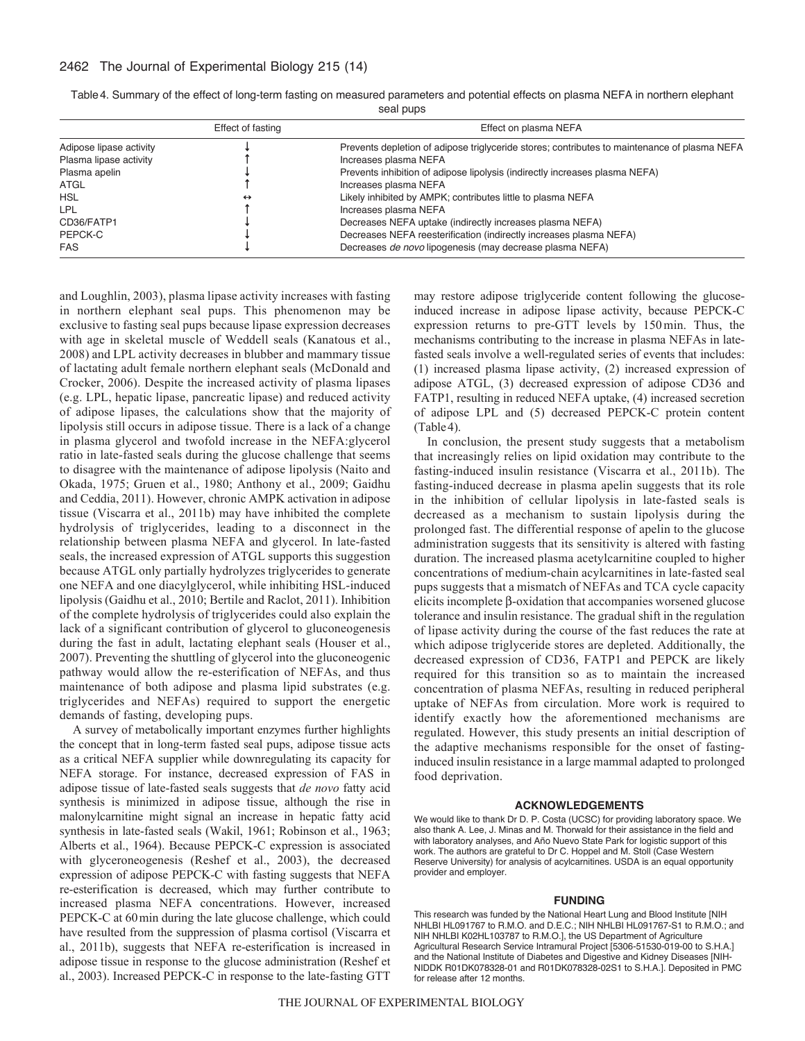# 2462 The Journal of Experimental Biology 215 (14)

|                         | Effect of fasting | Effect on plasma NEFA                                                                        |
|-------------------------|-------------------|----------------------------------------------------------------------------------------------|
| Adipose lipase activity |                   | Prevents depletion of adipose triglyceride stores; contributes to maintenance of plasma NEFA |
| Plasma lipase activity  |                   | Increases plasma NEFA                                                                        |
| Plasma apelin           |                   | Prevents inhibition of adipose lipolysis (indirectly increases plasma NEFA)                  |
| ATGL                    |                   | Increases plasma NEFA                                                                        |
| <b>HSL</b>              | $\leftrightarrow$ | Likely inhibited by AMPK; contributes little to plasma NEFA                                  |
| <b>LPL</b>              |                   | Increases plasma NEFA                                                                        |
| CD36/FATP1              |                   | Decreases NEFA uptake (indirectly increases plasma NEFA)                                     |
| PEPCK-C                 |                   | Decreases NEFA reesterification (indirectly increases plasma NEFA)                           |
| <b>FAS</b>              |                   | Decreases <i>de novo</i> lipogenesis (may decrease plasma NEFA)                              |

Table4. Summary of the effect of long-term fasting on measured parameters and potential effects on plasma NEFA in northern elephant seal pups

and Loughlin, 2003), plasma lipase activity increases with fasting in northern elephant seal pups. This phenomenon may be exclusive to fasting seal pups because lipase expression decreases with age in skeletal muscle of Weddell seals (Kanatous et al., 2008) and LPL activity decreases in blubber and mammary tissue of lactating adult female northern elephant seals (McDonald and Crocker, 2006). Despite the increased activity of plasma lipases (e.g. LPL, hepatic lipase, pancreatic lipase) and reduced activity of adipose lipases, the calculations show that the majority of lipolysis still occurs in adipose tissue. There is a lack of a change in plasma glycerol and twofold increase in the NEFA:glycerol ratio in late-fasted seals during the glucose challenge that seems to disagree with the maintenance of adipose lipolysis (Naito and Okada, 1975; Gruen et al., 1980; Anthony et al., 2009; Gaidhu and Ceddia, 2011). However, chronic AMPK activation in adipose tissue (Viscarra et al., 2011b) may have inhibited the complete hydrolysis of triglycerides, leading to a disconnect in the relationship between plasma NEFA and glycerol. In late-fasted seals, the increased expression of ATGL supports this suggestion because ATGL only partially hydrolyzes triglycerides to generate one NEFA and one diacylglycerol, while inhibiting HSL-induced lipolysis (Gaidhu et al., 2010; Bertile and Raclot, 2011). Inhibition of the complete hydrolysis of triglycerides could also explain the lack of a significant contribution of glycerol to gluconeogenesis during the fast in adult, lactating elephant seals (Houser et al., 2007). Preventing the shuttling of glycerol into the gluconeogenic pathway would allow the re-esterification of NEFAs, and thus maintenance of both adipose and plasma lipid substrates (e.g. triglycerides and NEFAs) required to support the energetic demands of fasting, developing pups.

A survey of metabolically important enzymes further highlights the concept that in long-term fasted seal pups, adipose tissue acts as a critical NEFA supplier while downregulating its capacity for NEFA storage. For instance, decreased expression of FAS in adipose tissue of late-fasted seals suggests that *de novo* fatty acid synthesis is minimized in adipose tissue, although the rise in malonylcarnitine might signal an increase in hepatic fatty acid synthesis in late-fasted seals (Wakil, 1961; Robinson et al., 1963; Alberts et al., 1964). Because PEPCK-C expression is associated with glyceroneogenesis (Reshef et al., 2003), the decreased expression of adipose PEPCK-C with fasting suggests that NEFA re-esterification is decreased, which may further contribute to increased plasma NEFA concentrations. However, increased PEPCK-C at 60min during the late glucose challenge, which could have resulted from the suppression of plasma cortisol (Viscarra et al., 2011b), suggests that NEFA re-esterification is increased in adipose tissue in response to the glucose administration (Reshef et al., 2003). Increased PEPCK-C in response to the late-fasting GTT

may restore adipose triglyceride content following the glucoseinduced increase in adipose lipase activity, because PEPCK-C expression returns to pre-GTT levels by 150min. Thus, the mechanisms contributing to the increase in plasma NEFAs in latefasted seals involve a well-regulated series of events that includes: (1) increased plasma lipase activity, (2) increased expression of adipose ATGL, (3) decreased expression of adipose CD36 and FATP1, resulting in reduced NEFA uptake, (4) increased secretion of adipose LPL and (5) decreased PEPCK-C protein content (Table4).

In conclusion, the present study suggests that a metabolism that increasingly relies on lipid oxidation may contribute to the fasting-induced insulin resistance (Viscarra et al., 2011b). The fasting-induced decrease in plasma apelin suggests that its role in the inhibition of cellular lipolysis in late-fasted seals is decreased as a mechanism to sustain lipolysis during the prolonged fast. The differential response of apelin to the glucose administration suggests that its sensitivity is altered with fasting duration. The increased plasma acetylcarnitine coupled to higher concentrations of medium-chain acylcarnitines in late-fasted seal pups suggests that a mismatch of NEFAs and TCA cycle capacity elicits incomplete  $\beta$ -oxidation that accompanies worsened glucose tolerance and insulin resistance. The gradual shift in the regulation of lipase activity during the course of the fast reduces the rate at which adipose triglyceride stores are depleted. Additionally, the decreased expression of CD36, FATP1 and PEPCK are likely required for this transition so as to maintain the increased concentration of plasma NEFAs, resulting in reduced peripheral uptake of NEFAs from circulation. More work is required to identify exactly how the aforementioned mechanisms are regulated. However, this study presents an initial description of the adaptive mechanisms responsible for the onset of fastinginduced insulin resistance in a large mammal adapted to prolonged food deprivation.

## **ACKNOWLEDGEMENTS**

We would like to thank Dr D. P. Costa (UCSC) for providing laboratory space. We also thank A. Lee, J. Minas and M. Thorwald for their assistance in the field and with laboratory analyses, and Año Nuevo State Park for logistic support of this work. The authors are grateful to Dr C. Hoppel and M. Stoll (Case Western Reserve University) for analysis of acylcarnitines. USDA is an equal opportunity provider and employer.

### **FUNDING**

This research was funded by the National Heart Lung and Blood Institute [NIH NHLBI HL091767 to R.M.O. and D.E.C.; NIH NHLBI HL091767-S1 to R.M.O.; and NIH NHLBI K02HL103787 to R.M.O.], the US Department of Agriculture Agricultural Research Service Intramural Project [5306-51530-019-00 to S.H.A.] and the National Institute of Diabetes and Digestive and Kidney Diseases [NIH-NIDDK R01DK078328-01 and R01DK078328-02S1 to S.H.A.]. Deposited in PMC for release after 12 months.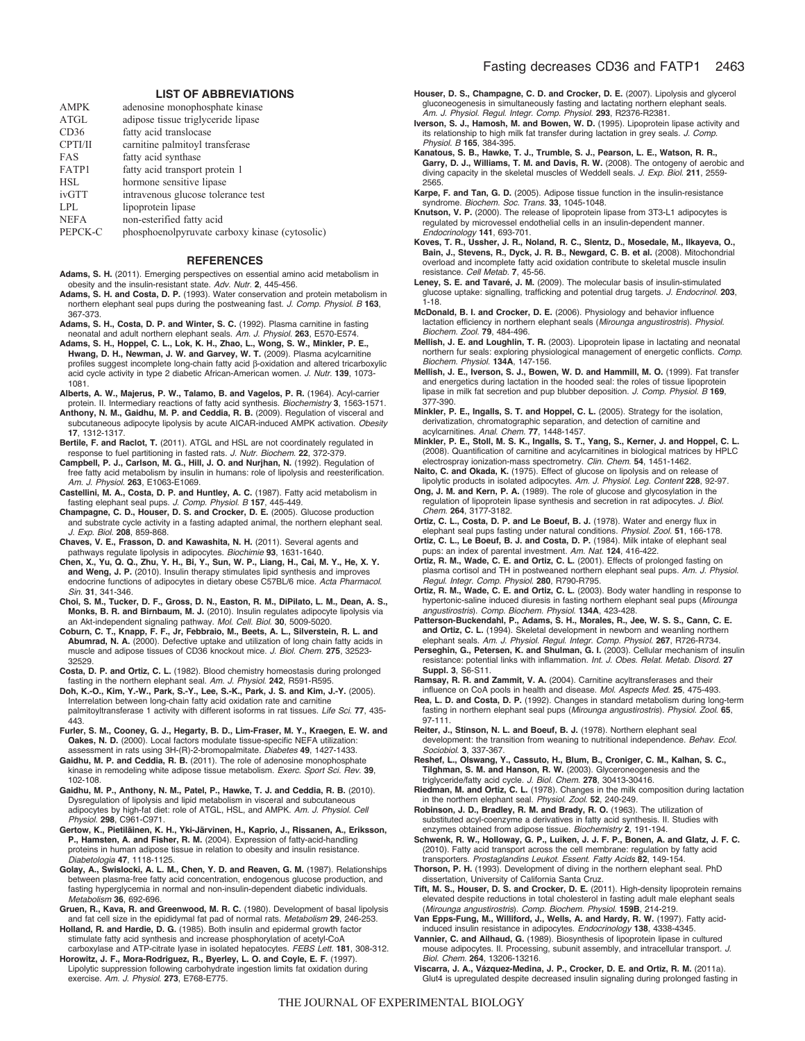#### **LIST OF ABBREVIATIONS**

| <b>AMPK</b> | adenosine monophosphate kinase                 |
|-------------|------------------------------------------------|
| ATGL        | adipose tissue triglyceride lipase             |
| CD36        | fatty acid translocase                         |
| CPTI/II     | carnitine palmitoyl transferase                |
| <b>FAS</b>  | fatty acid synthase                            |
| FATP1       | fatty acid transport protein 1                 |
| <b>HSL</b>  | hormone sensitive lipase                       |
| ivGTT       | intravenous glucose tolerance test             |
| <b>LPL</b>  | lipoprotein lipase                             |
| <b>NEFA</b> | non-esterified fatty acid                      |
| PEPCK-C     | phosphoenolpyruvate carboxy kinase (cytosolic) |
|             |                                                |

#### **REFERENCES**

- **Adams, S. H.** (2011). Emerging perspectives on essential amino acid metabolism in obesity and the insulin-resistant state. *Adv. Nutr.* **2**, 445-456.
- **Adams, S. H. and Costa, D. P.** (1993). Water conservation and protein metabolism in northern elephant seal pups during the postweaning fast. *J. Comp. Physiol. B* **163**, 367-373.
- **Adams, S. H., Costa, D. P. and Winter, S. C.** (1992). Plasma carnitine in fasting neonatal and adult northern elephant seals. *Am. J. Physiol.* **263**, E570-E574.
- **Adams, S. H., Hoppel, C. L., Lok, K. H., Zhao, L., Wong, S. W., Minkler, P. E., Hwang, D. H., Newman, J. W. and Garvey, W. T.** (2009). Plasma acylcarnitine profiles suggest incomplete long-chain fatty acid  $\beta$ -oxidation and altered tricarboxylic acid cycle activity in type 2 diabetic African-American women. *J. Nutr.* **139**, 1073- 1081.
- **Alberts, A. W., Majerus, P. W., Talamo, B. and Vagelos, P. R.** (1964). Acyl-carrier protein. II. Intermediary reactions of fatty acid synthesis. *Biochemistry* **3**, 1563-1571.
- **Anthony, N. M., Gaidhu, M. P. and Ceddia, R. B.** (2009). Regulation of visceral and subcutaneous adipocyte lipolysis by acute AICAR-induced AMPK activation. *Obesity* **17**, 1312-1317.
- **Bertile, F. and Raclot, T.** (2011). ATGL and HSL are not coordinately regulated in response to fuel partitioning in fasted rats. *J. Nutr. Biochem.* **22**, 372-379.
- **Campbell, P. J., Carlson, M. G., Hill, J. O. and Nurjhan, N.** (1992). Regulation of free fatty acid metabolism by insulin in humans: role of lipolysis and reesterification. *Am. J. Physiol.* **263**, E1063-E1069.
- **Castellini, M. A., Costa, D. P. and Huntley, A. C.** (1987). Fatty acid metabolism in fasting elephant seal pups. *J. Comp. Physiol. B* **157**, 445-449.
- **Champagne, C. D., Houser, D. S. and Crocker, D. E.** (2005). Glucose production and substrate cycle activity in a fasting adapted animal, the northern elephant seal. *J. Exp. Biol.* **208**, 859-868.
- **Chaves, V. E., Frasson, D. and Kawashita, N. H.** (2011). Several agents and
- pathways regulate lipolysis in adipocytes. *Biochimie* **93**, 1631-1640. **Chen, X., Yu, Q. Q., Zhu, Y. H., Bi, Y., Sun, W. P., Liang, H., Cai, M. Y., He, X. Y. and Weng, J. P.** (2010). Insulin therapy stimulates lipid synthesis and improves endocrine functions of adipocytes in dietary obese C57BL/6 mice. *Acta Pharmacol. Sin.* **31**, 341-346.
- Choi, S. M., Tucker, D. F., Gross, D. N., Easton, R. M., DiPilato, L. M., Dean, A. S., Monks, B. R. and Birnbaum, M. J. (2010). Insulin regulates adipocyte lipolysis via<br>an Akt-independent signaling pathway. Mol. Cell. Bio
- **Abumrad, N. A.** (2000). Defective uptake and utilization of long chain fatty acids in muscle and adipose tissues of CD36 knockout mice. *J. Biol. Chem.* **275**, 32523- 32529.
- **Costa, D. P. and Ortiz, C. L.** (1982). Blood chemistry homeostasis during prolonged fasting in the northern elephant seal. *Am. J. Physiol.* **242**, R591-R595.
- **Doh, K.-O., Kim, Y.-W., Park, S.-Y., Lee, S.-K., Park, J. S. and Kim, J.-Y.** (2005). Interrelation between long-chain fatty acid oxidation rate and carnitine palmitoyltransferase 1 activity with different isoforms in rat tissues. *Life Sci.* **77**, 435- .<br>443.
- **Furler, S. M., Cooney, G. J., Hegarty, B. D., Lim-Fraser, M. Y., Kraegen, E. W. and Oakes, N. D.** (2000). Local factors modulate tissue-specific NEFA utilization assessment in rats using 3H-(R)-2-bromopalmitate. *Diabetes* **49**, 1427-1433.
- **Gaidhu, M. P. and Ceddia, R. B.** (2011). The role of adenosine monophosphate kinase in remodeling white adipose tissue metabolism. *Exerc. Sport Sci. Rev.* **39**, 102-108.
- **Gaidhu, M. P., Anthony, N. M., Patel, P., Hawke, T. J. and Ceddia, R. B.** (2010). Dysregulation of lipolysis and lipid metabolism in visceral and subcutaneous adipocytes by high-fat diet: role of ATGL, HSL, and AMPK. *Am. J. Physiol. Cell Physiol.* **298**, C961-C971.
- **Gertow, K., Pietiläinen, K. H., Yki-Järvinen, H., Kaprio, J., Rissanen, A., Eriksson, P., Hamsten, A. and Fisher, R. M.** (2004). Expression of fatty-acid-handling proteins in human adipose tissue in relation to obesity and insulin resistance. *Diabetologia* **47**, 1118-1125.
- **Golay, A., Swislocki, A. L. M., Chen, Y. D. and Reaven, G. M.** (1987). Relationships between plasma-free fatty acid concentration, endogenous glucose production, and fasting hyperglycemia in normal and non-insulin-dependent diabetic individuals. *Metabolism* **36**, 692-696.
- **Gruen, R., Kava, R. and Greenwood, M. R. C.** (1980). Development of basal lipolysis and fat cell size in the epididymal fat pad of normal rats. *Metabolism* **29**, 246-253.
- **Holland, R. and Hardie, D. G.** (1985). Both insulin and epidermal growth factor stimulate fatty acid synthesis and increase phosphorylation of acetyl-CoA carboxylase and ATP-citrate lyase in isolated hepatocytes. *FEBS Lett.* **181**, 308-312. **Horowitz, J. F., Mora-Rodriguez, R., Byerley, L. O. and Coyle, E. F.** (1997).
- Lipolytic suppression following carbohydrate ingestion limits fat oxidation during exercise. *Am. J. Physiol.* **273**, E768-E775.
- **Houser, D. S., Champagne, C. D. and Crocker, D. E.** (2007). Lipolysis and glycerol gluconeogenesis in simultaneously fasting and lactating northern elephant seals. *Am. J. Physiol. Regul. Integr. Comp. Physiol.* **293**, R2376-R2381.
- **Iverson, S. J., Hamosh, M. and Bowen, W. D.** (1995). Lipoprotein lipase activity and its relationship to high milk fat transfer during lactation in grey seals. *J. Comp. Physiol. B* **165**, 384-395.
- **Kanatous, S. B., Hawke, T. J., Trumble, S. J., Pearson, L. E., Watson, R. R., Garry, D. J., Williams, T. M. and Davis, R. W.** (2008). The ontogeny of aerobic and diving capacity in the skeletal muscles of Weddell seals. *J. Exp. Biol.* **211**, 2559- 2565.
- **Karpe, F. and Tan, G. D.** (2005). Adipose tissue function in the insulin-resistance
- syndrome. *Biochem. Soc. Trans.* **33**, 1045-1048. **Knutson, V. P.** (2000). The release of lipoprotein lipase from 3T3-L1 adipocytes is regulated by microvessel endothelial cells in an insulin-dependent manner. *Endocrinology* **141**, 693-701.
- **Koves, T. R., Ussher, J. R., Noland, R. C., Slentz, D., Mosedale, M., Ilkayeva, O., Bain, J., Stevens, R., Dyck, J. R. B., Newgard, C. B. et al.** (2008). Mitochondrial overload and incomplete fatty acid oxidation contribute to skeletal muscle insulin resistance. *Cell Metab.* **7**, 45-56.
- **Leney, S. E. and Tavaré, J. M.** (2009). The molecular basis of insulin-stimulated glucose uptake: signalling, trafficking and potential drug targets. *J. Endocrinol.* **203**, 1-18.
- **McDonald, B. I. and Crocker, D. E.** (2006). Physiology and behavior influence lactation efficiency in northern elephant seals (*Mirounga angustirostris*). *Physiol. Biochem. Zool.* **79**, 484-496.
- **Mellish, J. E. and Loughlin, T. R.** (2003). Lipoprotein lipase in lactating and neonatal northern fur seals: exploring physiological management of energetic conflicts. *Comp. Biochem. Physiol.* **134A**, 147-156.
- **Mellish, J. E., Iverson, S. J., Bowen, W. D. and Hammill, M. O.** (1999). Fat transfer and energetics during lactation in the hooded seal: the roles of tissue lipoprotein lipase in milk fat secretion and pup blubber deposition. *J. Comp. Physiol. B* **169**, 377-390.
- **Minkler, P. E., Ingalls, S. T. and Hoppel, C. L.** (2005). Strategy for the isolation, derivatization, chromatographic separation, and detection of carnitine and acylcarnitines. *Anal. Chem.* **77**, 1448-1457.
- **Minkler, P. E., Stoll, M. S. K., Ingalls, S. T., Yang, S., Kerner, J. and Hoppel, C. L.** (2008). Quantification of carnitine and acylcarnitines in biological matrices by HPLC electrospray ionization-mass spectrometry. *Clin. Chem.* **54**, 1451-1462.
- **Naito, C. and Okada, K.** (1975). Effect of glucose on lipolysis and on release of lipolytic products in isolated adipocytes. *Am. J. Physiol. Leg. Content* **228**, 92-97.
- **Ong, J. M. and Kern, P. A.** (1989). The role of glucose and glycosylation in the regulation of lipoprotein lipase synthesis and secretion in rat adipocytes. *J. Biol. Chem.* **264**, 3177-3182.
- **Ortiz, C. L., Costa, D. P. and Le Boeuf, B. J.** (1978). Water and energy flux in

elephant seal pups fasting under natural conditions. *Physiol. Zool.* **51**, 166-178. **Ortiz, C. L., Le Boeuf, B. J. and Costa, D. P.** (1984). Milk intake of elephant seal

- pups: an index of parental investment. *Am. Nat.* **124**, 416-422.
- **Ortiz, R. M., Wade, C. E. and Ortiz, C. L.** (2001). Effects of prolonged fasting on plasma cortisol and TH in postweaned northern elephant seal pups. *Am. J. Physiol. Regul. Integr. Comp. Physiol.* **280**, R790-R795.
- **Ortiz, R. M., Wade, C. E. and Ortiz, C. L.** (2003). Body water handling in response to hypertonic-saline induced diuresis in fasting northern elephant seal pups (*Mirounga angustirostris*). *Comp. Biochem. Physiol.* **134A**, 423-428.
- **Patterson-Buckendahl, P., Adams, S. H., Morales, R., Jee, W. S. S., Cann, C. E. and Ortiz, C. L.** (1994). Skeletal development in newborn and weanling northern
- elephant seals. A*m. J. Physiol. Regul. Integr. Comp. Physiol.* 267, R726-R734.<br>Perseghin, G., Petersen, K. and Shulman, G. I. (2003). Cellular mechanism of insulin<br>resistance: potential links with inflammation. *Int. J. O* **Suppl. 3**, S6-S11.

**Ramsay, R. R. and Zammit, V. A.** (2004). Carnitine acyltransferases and their influence on CoA pools in health and disease. *Mol. Aspects Med.* **25**, 475-493.

- **Rea, L. D. and Costa, D. P.** (1992). Changes in standard metabolism during long-term fasting in northern elephant seal pups (*Mirounga angustirostris*). *Physiol. Zool.* **65**, 97-111.
- **Reiter, J., Stinson, N. L. and Boeuf, B. J.** (1978). Northern elephant seal development: the transition from weaning to nutritional independence. *Behav. Ecol. Sociobiol.* **3**, 337-367.
- **Reshef, L., Olswang, Y., Cassuto, H., Blum, B., Croniger, C. M., Kalhan, S. C., Tilghman, S. M. and Hanson, R. W.** (2003). Glyceroneogenesis and the triglyceride/fatty acid cycle. *J. Biol. Chem.* **278**, 30413-30416.
- **Riedman, M. and Ortiz, C. L.** (1978). Changes in the milk composition during lactation in the northern elephant seal. *Physiol. Zool.* **52**, 240-249.
- **Robinson, J. D., Bradley, R. M. and Brady, R. O.** (1963). The utilization of substituted acyl-coenzyme a derivatives in fatty acid synthesis. II. Studies with enzymes obtained from adipose tissue. *Biochemistry* **2**, 191-194.
- **Schwenk, R. W., Holloway, G. P., Luiken, J. J. F. P., Bonen, A. and Glatz, J. F. C.** (2010). Fatty acid transport across the cell membrane: regulation by fatty acid transporters. *Prostaglandins Leukot. Essent. Fatty Acids* **82**, 149-154.
- **Thorson, P. H.** (1993). Development of diving in the northern elephant seal. PhD dissertation, University of California Santa Cruz.
- **Tift, M. S., Houser, D. S. and Crocker, D. E.** (2011). High-density lipoprotein remains elevated despite reductions in total cholesterol in fasting adult male elephant seals (*Mirounga angustirostris*). *Comp. Biochem. Physiol.* **159B**, 214-219.
- **Van Epps-Fung, M., Williford, J., Wells, A. and Hardy, R. W.** (1997). Fatty acidinduced insulin resistance in adipocytes. *Endocrinology* **138**, 4338-4345.
- **Vannier, C. and Ailhaud, G.** (1989). Biosynthesis of lipoprotein lipase in cultured mouse adipocytes. II. Processing, subunit assembly, and intracellular transport. *J. Biol. Chem.* **264**, 13206-13216.
- **Viscarra, J. A., Vázquez-Medina, J. P., Crocker, D. E. and Ortiz, R. M.** (2011a). Glut4 is upregulated despite decreased insulin signaling during prolonged fasting in